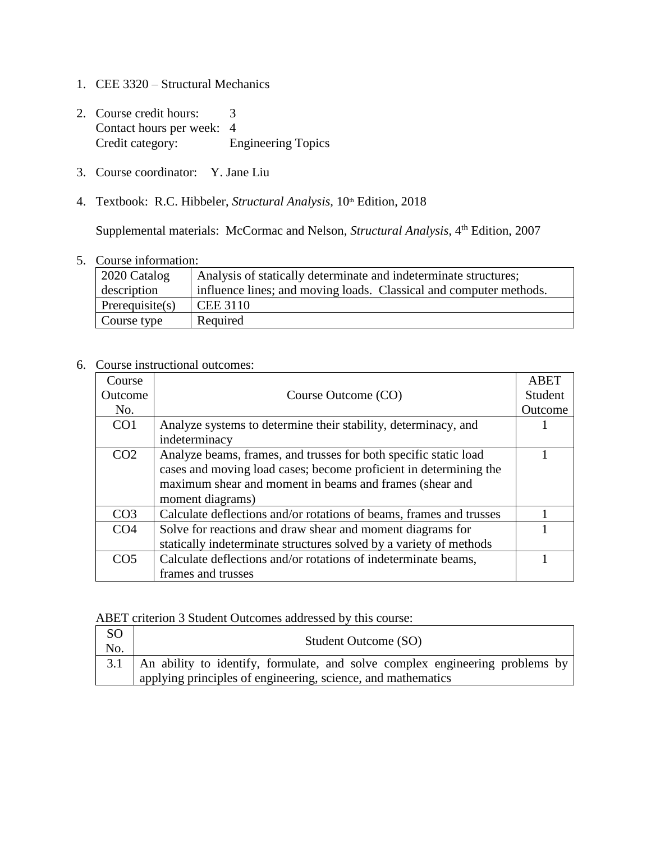- 1. CEE 3320 Structural Mechanics
- 2. Course credit hours: 3 Contact hours per week: 4<br>Credit category: E Engineering Topics
- 3. Course coordinator: Y. Jane Liu
- 4. Textbook: R.C. Hibbeler, *Structural Analysis*, 10<sup>th</sup> Edition, 2018

Supplemental materials: McCormac and Nelson, *Structural Analysis*, 4<sup>th</sup> Edition, 2007

5. Course information:

| $\vert$ 2020 Catalog | Analysis of statically determinate and indeterminate structures;   |
|----------------------|--------------------------------------------------------------------|
| description          | influence lines; and moving loads. Classical and computer methods. |
| Perequisite(s)       | CEE 3110                                                           |
| Course type          | Required                                                           |

## 6. Course instructional outcomes:

| Course          |                                                                     | ABET    |
|-----------------|---------------------------------------------------------------------|---------|
| Outcome         | Course Outcome (CO)                                                 | Student |
| No.             |                                                                     | Outcome |
| CO <sub>1</sub> | Analyze systems to determine their stability, determinacy, and      |         |
|                 | indeterminacy                                                       |         |
| CO <sub>2</sub> | Analyze beams, frames, and trusses for both specific static load    |         |
|                 | cases and moving load cases; become proficient in determining the   |         |
|                 | maximum shear and moment in beams and frames (shear and             |         |
|                 | moment diagrams)                                                    |         |
| CO <sub>3</sub> | Calculate deflections and/or rotations of beams, frames and trusses |         |
| CO <sub>4</sub> | Solve for reactions and draw shear and moment diagrams for          |         |
|                 | statically indeterminate structures solved by a variety of methods  |         |
| CO <sub>5</sub> | Calculate deflections and/or rotations of indeterminate beams,      |         |
|                 | frames and trusses                                                  |         |

## ABET criterion 3 Student Outcomes addressed by this course:

| SO  |                                                                                    |
|-----|------------------------------------------------------------------------------------|
| No. | Student Outcome (SO)                                                               |
|     | 3.1   An ability to identify, formulate, and solve complex engineering problems by |
|     | applying principles of engineering, science, and mathematics                       |